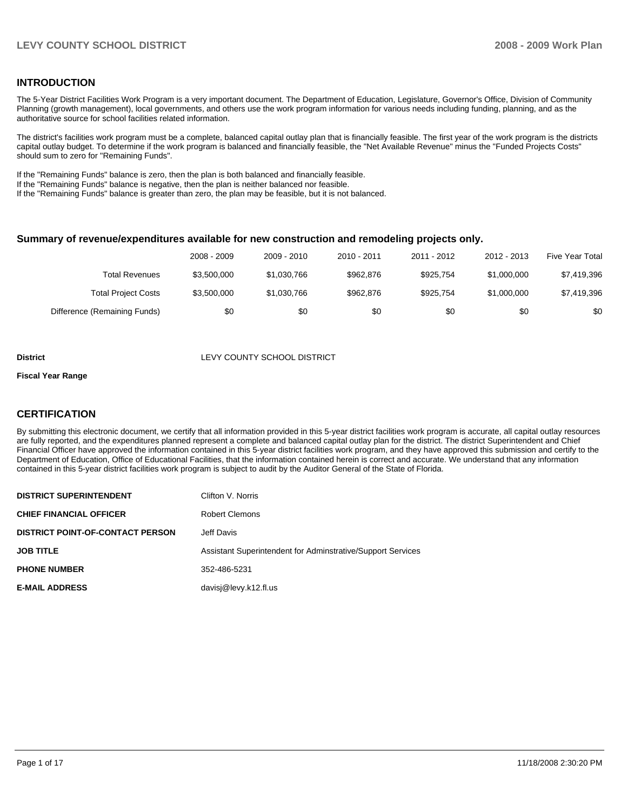#### **INTRODUCTION**

The 5-Year District Facilities Work Program is a very important document. The Department of Education, Legislature, Governor's Office, Division of Community Planning (growth management), local governments, and others use the work program information for various needs including funding, planning, and as the authoritative source for school facilities related information.

The district's facilities work program must be a complete, balanced capital outlay plan that is financially feasible. The first year of the work program is the districts capital outlay budget. To determine if the work program is balanced and financially feasible, the "Net Available Revenue" minus the "Funded Projects Costs" should sum to zero for "Remaining Funds".

If the "Remaining Funds" balance is zero, then the plan is both balanced and financially feasible.

If the "Remaining Funds" balance is negative, then the plan is neither balanced nor feasible.

If the "Remaining Funds" balance is greater than zero, the plan may be feasible, but it is not balanced.

#### **Summary of revenue/expenditures available for new construction and remodeling projects only.**

|                              | 2008 - 2009 | 2009 - 2010 | 2010 - 2011 | 2011 - 2012 | 2012 - 2013 | <b>Five Year Total</b> |
|------------------------------|-------------|-------------|-------------|-------------|-------------|------------------------|
| Total Revenues               | \$3,500,000 | \$1,030,766 | \$962,876   | \$925.754   | \$1,000,000 | \$7,419,396            |
| <b>Total Project Costs</b>   | \$3,500,000 | \$1,030,766 | \$962,876   | \$925.754   | \$1,000,000 | \$7,419,396            |
| Difference (Remaining Funds) | \$0         | \$0         | \$0         | \$0         | \$0         | \$0                    |

#### **District** LEVY COUNTY SCHOOL DISTRICT

#### **Fiscal Year Range**

#### **CERTIFICATION**

By submitting this electronic document, we certify that all information provided in this 5-year district facilities work program is accurate, all capital outlay resources are fully reported, and the expenditures planned represent a complete and balanced capital outlay plan for the district. The district Superintendent and Chief Financial Officer have approved the information contained in this 5-year district facilities work program, and they have approved this submission and certify to the Department of Education, Office of Educational Facilities, that the information contained herein is correct and accurate. We understand that any information contained in this 5-year district facilities work program is subject to audit by the Auditor General of the State of Florida.

| <b>DISTRICT SUPERINTENDENT</b>          | Clifton V. Norris                                           |
|-----------------------------------------|-------------------------------------------------------------|
| <b>CHIEF FINANCIAL OFFICER</b>          | <b>Robert Clemons</b>                                       |
| <b>DISTRICT POINT-OF-CONTACT PERSON</b> | Jeff Davis                                                  |
| <b>JOB TITLE</b>                        | Assistant Superintendent for Adminstrative/Support Services |
| <b>PHONE NUMBER</b>                     | 352-486-5231                                                |
| <b>E-MAIL ADDRESS</b>                   | davisj@levy.k12.fl.us                                       |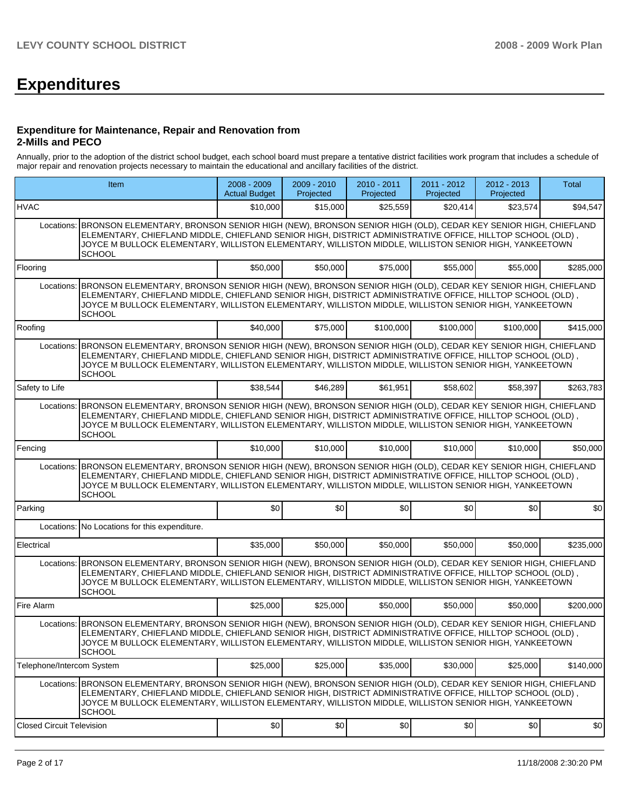# **Expenditures**

#### **Expenditure for Maintenance, Repair and Renovation from 2-Mills and PECO**

Annually, prior to the adoption of the district school budget, each school board must prepare a tentative district facilities work program that includes a schedule of major repair and renovation projects necessary to maintain the educational and ancillary facilities of the district.

| <b>Item</b>                      |                                                                                                                                                                                                                                                                                                                                                                | 2008 - 2009<br><b>Actual Budget</b> | $2009 - 2010$<br>Projected | 2010 - 2011<br>Projected | 2011 - 2012<br>Projected | 2012 - 2013<br>Projected | Total     |
|----------------------------------|----------------------------------------------------------------------------------------------------------------------------------------------------------------------------------------------------------------------------------------------------------------------------------------------------------------------------------------------------------------|-------------------------------------|----------------------------|--------------------------|--------------------------|--------------------------|-----------|
| <b>HVAC</b>                      |                                                                                                                                                                                                                                                                                                                                                                | \$10,000                            | \$15,000                   | \$25,559                 | \$20,414                 | \$23,574                 | \$94,547  |
|                                  | Locations: BRONSON ELEMENTARY, BRONSON SENIOR HIGH (NEW), BRONSON SENIOR HIGH (OLD), CEDAR KEY SENIOR HIGH, CHIEFLAND<br>, ELEMENTARY, CHIEFLAND MIDDLE, CHIEFLAND SENIOR HIGH, DISTRICT ADMINISTRATIVE OFFICE, HILLTOP SCHOOL (OLD)<br>JOYCE M BULLOCK ELEMENTARY, WILLISTON ELEMENTARY, WILLISTON MIDDLE, WILLISTON SENIOR HIGH, YANKEETOWN<br><b>SCHOOL</b> |                                     |                            |                          |                          |                          |           |
| Flooring                         |                                                                                                                                                                                                                                                                                                                                                                | \$50,000                            | \$50,000                   | \$75,000                 | \$55,000                 | \$55,000                 | \$285,000 |
|                                  | Locations: BRONSON ELEMENTARY, BRONSON SENIOR HIGH (NEW), BRONSON SENIOR HIGH (OLD), CEDAR KEY SENIOR HIGH, CHIEFLAND<br>ELEMENTARY. CHIEFLAND MIDDLE. CHIEFLAND SENIOR HIGH. DISTRICT ADMINISTRATIVE OFFICE. HILLTOP SCHOOL (OLD).<br>JOYCE M BULLOCK ELEMENTARY, WILLISTON ELEMENTARY, WILLISTON MIDDLE, WILLISTON SENIOR HIGH, YANKEETOWN<br><b>SCHOOL</b>  |                                     |                            |                          |                          |                          |           |
| Roofing                          |                                                                                                                                                                                                                                                                                                                                                                | \$40,000                            | \$75,000                   | \$100,000                | \$100.000                | \$100,000                | \$415,000 |
| Locations:                       | BRONSON ELEMENTARY, BRONSON SENIOR HIGH (NEW), BRONSON SENIOR HIGH (OLD), CEDAR KEY SENIOR HIGH, CHIEFLAND<br>, ELEMENTARY, CHIEFLAND MIDDLE, CHIEFLAND SENIOR HIGH, DISTRICT ADMINISTRATIVE OFFICE, HILLTOP SCHOOL (OLD)<br>JOYCE M BULLOCK ELEMENTARY, WILLISTON ELEMENTARY, WILLISTON MIDDLE, WILLISTON SENIOR HIGH, YANKEETOWN<br><b>SCHOOL</b>            |                                     |                            |                          |                          |                          |           |
| Safety to Life                   |                                                                                                                                                                                                                                                                                                                                                                | \$38,544                            | \$46,289                   | \$61,951                 | \$58,602                 | \$58,397                 | \$263,783 |
| Locations:                       | BRONSON ELEMENTARY, BRONSON SENIOR HIGH (NEW), BRONSON SENIOR HIGH (OLD), CEDAR KEY SENIOR HIGH, CHIEFLAND<br>ELEMENTARY, CHIEFLAND MIDDLE, CHIEFLAND SENIOR HIGH, DISTRICT ADMINISTRATIVE OFFICE, HILLTOP SCHOOL (OLD),<br>JOYCE M BULLOCK ELEMENTARY, WILLISTON ELEMENTARY, WILLISTON MIDDLE, WILLISTON SENIOR HIGH, YANKEETOWN<br><b>SCHOOL</b>             |                                     |                            |                          |                          |                          |           |
| Fencing                          |                                                                                                                                                                                                                                                                                                                                                                | \$10,000                            | \$10,000                   | \$10,000                 | \$10,000                 | \$10,000                 | \$50,000  |
| Locations:                       | BRONSON ELEMENTARY, BRONSON SENIOR HIGH (NEW), BRONSON SENIOR HIGH (OLD), CEDAR KEY SENIOR HIGH, CHIEFLAND<br>, ELEMENTARY, CHIEFLAND MIDDLE, CHIEFLAND SENIOR HIGH, DISTRICT ADMINISTRATIVE OFFICE, HILLTOP SCHOOL (OLD)<br>JOYCE M BULLOCK ELEMENTARY, WILLISTON ELEMENTARY, WILLISTON MIDDLE, WILLISTON SENIOR HIGH, YANKEETOWN<br><b>SCHOOL</b>            |                                     |                            |                          |                          |                          |           |
| Parking                          |                                                                                                                                                                                                                                                                                                                                                                | \$0                                 | \$0                        | \$0                      | \$0                      | \$0                      | \$0       |
|                                  | Locations: No Locations for this expenditure.                                                                                                                                                                                                                                                                                                                  |                                     |                            |                          |                          |                          |           |
| Electrical                       |                                                                                                                                                                                                                                                                                                                                                                | \$35,000                            | \$50,000                   | \$50,000                 | \$50,000                 | \$50,000                 | \$235,000 |
|                                  | Locations: BRONSON ELEMENTARY, BRONSON SENIOR HIGH (NEW), BRONSON SENIOR HIGH (OLD), CEDAR KEY SENIOR HIGH, CHIEFLAND<br>ELEMENTARY, CHIEFLAND MIDDLE, CHIEFLAND SENIOR HIGH, DISTRICT ADMINISTRATIVE OFFICE, HILLTOP SCHOOL (OLD),<br>JOYCE M BULLOCK ELEMENTARY, WILLISTON ELEMENTARY, WILLISTON MIDDLE, WILLISTON SENIOR HIGH, YANKEETOWN<br><b>SCHOOL</b>  |                                     |                            |                          |                          |                          |           |
| Fire Alarm                       |                                                                                                                                                                                                                                                                                                                                                                | \$25,000                            | \$25,000                   | \$50,000                 | \$50,000                 | \$50,000                 | \$200,000 |
|                                  | Locations: BRONSON ELEMENTARY, BRONSON SENIOR HIGH (NEW), BRONSON SENIOR HIGH (OLD), CEDAR KEY SENIOR HIGH, CHIEFLAND<br>, ELEMENTARY, CHIEFLAND MIDDLE, CHIEFLAND SENIOR HIGH, DISTRICT ADMINISTRATIVE OFFICE, HILLTOP SCHOOL (OLD)<br>JOYCE M BULLOCK ELEMENTARY, WILLISTON ELEMENTARY, WILLISTON MIDDLE, WILLISTON SENIOR HIGH, YANKEETOWN<br><b>SCHOOL</b> |                                     |                            |                          |                          |                          |           |
| Telephone/Intercom System        |                                                                                                                                                                                                                                                                                                                                                                | \$25,000                            | \$25,000                   | \$35,000                 | \$30,000                 | \$25,000                 | \$140,000 |
| Locations:                       | BRONSON ELEMENTARY, BRONSON SENIOR HIGH (NEW), BRONSON SENIOR HIGH (OLD), CEDAR KEY SENIOR HIGH, CHIEFLAND<br>, ELEMENTARY, CHIEFLAND MIDDLE, CHIEFLAND SENIOR HIGH, DISTRICT ADMINISTRATIVE OFFICE, HILLTOP SCHOOL (OLD)<br>JOYCE M BULLOCK ELEMENTARY, WILLISTON ELEMENTARY, WILLISTON MIDDLE, WILLISTON SENIOR HIGH, YANKEETOWN<br><b>SCHOOL</b>            |                                     |                            |                          |                          |                          |           |
| <b>Closed Circuit Television</b> |                                                                                                                                                                                                                                                                                                                                                                | \$0                                 | \$0                        | \$0                      | \$0                      | \$0                      | \$0       |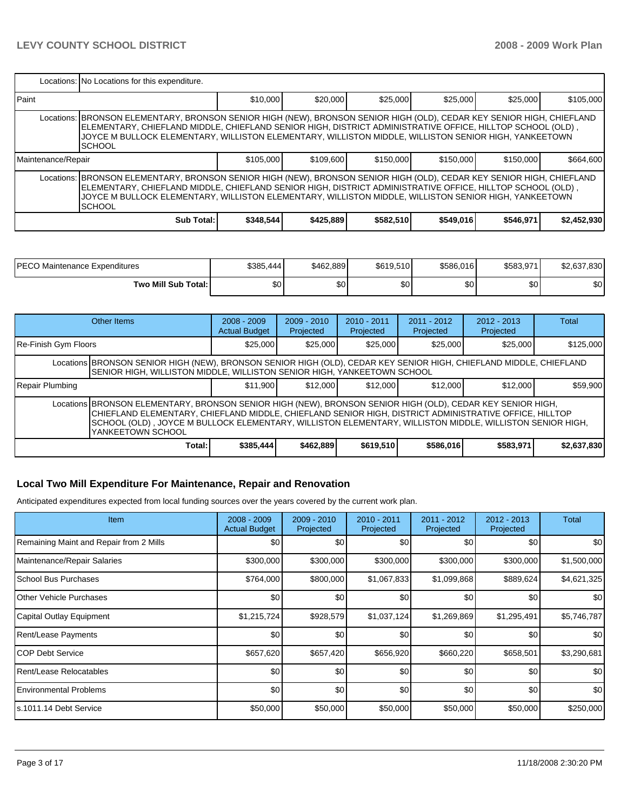|                                                                                                                                                                                                                                                                                                                                                                | Locations: No Locations for this expenditure.                                                                                                                                                                                                                                                                                                                    |           |           |           |           |           |             |  |  |  |  |
|----------------------------------------------------------------------------------------------------------------------------------------------------------------------------------------------------------------------------------------------------------------------------------------------------------------------------------------------------------------|------------------------------------------------------------------------------------------------------------------------------------------------------------------------------------------------------------------------------------------------------------------------------------------------------------------------------------------------------------------|-----------|-----------|-----------|-----------|-----------|-------------|--|--|--|--|
| l Paint                                                                                                                                                                                                                                                                                                                                                        |                                                                                                                                                                                                                                                                                                                                                                  | \$10,000  | \$20,000  | \$25,000  | \$25,000  | \$25,000  | \$105,000   |  |  |  |  |
|                                                                                                                                                                                                                                                                                                                                                                | Locations: BRONSON ELEMENTARY, BRONSON SENIOR HIGH (NEW), BRONSON SENIOR HIGH (OLD), CEDAR KEY SENIOR HIGH, CHIEFLAND<br>, ELEMENTARY, CHIEFLAND MIDDLE, CHIEFLAND SENIOR HIGH, DISTRICT ADMINISTRATIVE OFFICE, HILLTOP SCHOOL (OLD) [<br>JOYCE M BULLOCK ELEMENTARY, WILLISTON ELEMENTARY, WILLISTON MIDDLE, WILLISTON SENIOR HIGH, YANKEETOWN<br><b>SCHOOL</b> |           |           |           |           |           |             |  |  |  |  |
| Maintenance/Repair                                                                                                                                                                                                                                                                                                                                             |                                                                                                                                                                                                                                                                                                                                                                  | \$105,000 | \$109,600 | \$150,000 | \$150,000 | \$150,000 | \$664,600   |  |  |  |  |
| Locations: BRONSON ELEMENTARY, BRONSON SENIOR HIGH (NEW), BRONSON SENIOR HIGH (OLD), CEDAR KEY SENIOR HIGH, CHIEFLAND<br>, ELEMENTARY, CHIEFLAND MIDDLE, CHIEFLAND SENIOR HIGH, DISTRICT ADMINISTRATIVE OFFICE, HILLTOP SCHOOL (OLD)<br>JOYCE M BULLOCK ELEMENTARY. WILLISTON ELEMENTARY. WILLISTON MIDDLE. WILLISTON SENIOR HIGH. YANKEETOWN<br><b>SCHOOL</b> |                                                                                                                                                                                                                                                                                                                                                                  |           |           |           |           |           |             |  |  |  |  |
|                                                                                                                                                                                                                                                                                                                                                                | Sub Total:                                                                                                                                                                                                                                                                                                                                                       | \$348,544 | \$425,889 | \$582,510 | \$549,016 | \$546,971 | \$2,452,930 |  |  |  |  |

| <b>PECO Maintenance Expenditures</b> | \$385,444 | \$462.889 | \$619,510 | \$586,016        | \$583,971 | \$2,637,830 |
|--------------------------------------|-----------|-----------|-----------|------------------|-----------|-------------|
| Two Mill Sub Total:                  | \$0       | \$٥Ι      | \$0       | \$0 <sub>1</sub> | ΦO<br>υU  | ¢∩l<br>JU.  |

| Other Items                                                                                                                                                                                                                                                                                                                                           |        | $2008 - 2009$<br><b>Actual Budget</b> | $2009 - 2010$<br>Projected | $2010 - 2011$<br>Projected | $2011 - 2012$<br>Projected | $2012 - 2013$<br>Projected | Total       |  |
|-------------------------------------------------------------------------------------------------------------------------------------------------------------------------------------------------------------------------------------------------------------------------------------------------------------------------------------------------------|--------|---------------------------------------|----------------------------|----------------------------|----------------------------|----------------------------|-------------|--|
| Re-Finish Gym Floors                                                                                                                                                                                                                                                                                                                                  |        | \$25,000                              | \$25,000                   | \$25,000                   | \$25,000                   | \$25,000                   | \$125,000   |  |
| Locations BRONSON SENIOR HIGH (NEW), BRONSON SENIOR HIGH (OLD), CEDAR KEY SENIOR HIGH, CHIEFLAND MIDDLE, CHIEFLAND<br>SENIOR HIGH, WILLISTON MIDDLE, WILLISTON SENIOR HIGH, YANKEETOWN SCHOOL                                                                                                                                                         |        |                                       |                            |                            |                            |                            |             |  |
| Repair Plumbing                                                                                                                                                                                                                                                                                                                                       |        | \$11.900                              | \$12,000                   | \$12,000                   | \$12,000                   | \$12,000                   | \$59,900    |  |
| Locations BRONSON ELEMENTARY, BRONSON SENIOR HIGH (NEW), BRONSON SENIOR HIGH (OLD), CEDAR KEY SENIOR HIGH,<br>CHIEFLAND ELEMENTARY, CHIEFLAND MIDDLE, CHIEFLAND SENIOR HIGH, DISTRICT ADMINISTRATIVE OFFICE, HILLTOP<br>SCHOOL (OLD), JOYCE M BULLOCK ELEMENTARY, WILLISTON ELEMENTARY, WILLISTON MIDDLE, WILLISTON SENIOR HIGH,<br>YANKEETOWN SCHOOL |        |                                       |                            |                            |                            |                            |             |  |
|                                                                                                                                                                                                                                                                                                                                                       | Total: | \$385,444                             | \$462,889                  | \$619,510                  | \$586,016                  | \$583,971                  | \$2,637,830 |  |

# **Local Two Mill Expenditure For Maintenance, Repair and Renovation**

Anticipated expenditures expected from local funding sources over the years covered by the current work plan.

| Item                                    | $2008 - 2009$<br><b>Actual Budget</b> | 2009 - 2010<br>Projected | 2010 - 2011<br>Projected | 2011 - 2012<br>Projected | 2012 - 2013<br>Projected | Total       |
|-----------------------------------------|---------------------------------------|--------------------------|--------------------------|--------------------------|--------------------------|-------------|
| Remaining Maint and Repair from 2 Mills | \$0 <sub>1</sub>                      | \$0                      | \$0                      | \$0                      | \$0                      | <b>\$0</b>  |
| Maintenance/Repair Salaries             | \$300,000                             | \$300,000                | \$300,000                | \$300,000                | \$300,000                | \$1,500,000 |
| School Bus Purchases                    | \$764,000                             | \$800,000                | \$1,067,833              | \$1,099,868              | \$889,624                | \$4,621,325 |
| Other Vehicle Purchases                 | \$0                                   | \$0                      | \$0                      | \$0                      | \$0                      | <b>SO</b>   |
| Capital Outlay Equipment                | \$1,215,724                           | \$928,579                | \$1,037,124              | \$1,269,869              | \$1,295,491              | \$5,746,787 |
| <b>Rent/Lease Payments</b>              | \$0                                   | \$0                      | \$0                      | \$0                      | \$0                      | \$0         |
| ICOP Debt Service                       | \$657,620                             | \$657,420                | \$656,920                | \$660,220                | \$658,501                | \$3,290,681 |
| Rent/Lease Relocatables                 | \$0                                   | \$0                      | \$0                      | \$0                      | \$0                      | \$0         |
| <b>Environmental Problems</b>           | \$0                                   | \$0                      | \$0                      | \$0                      | \$0                      | \$0         |
| Is.1011.14 Debt Service                 | \$50,000                              | \$50,000                 | \$50,000                 | \$50,000                 | \$50,000                 | \$250,000   |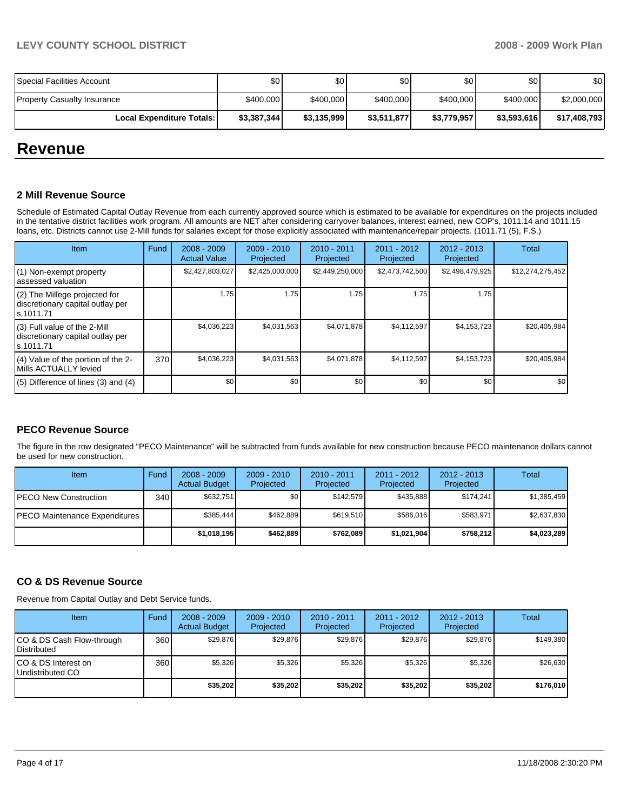# **LEVY COUNTY SCHOOL DISTRICT 2008 - 2009 Work Plan**

| Special Facilities Account         | \$0         | \$0 <sub>1</sub> | \$0         | \$0         | \$0         | \$0          |
|------------------------------------|-------------|------------------|-------------|-------------|-------------|--------------|
| <b>Property Casualty Insurance</b> | \$400,000   | \$400,000        | \$400,000   | \$400,000   | \$400,000   | \$2,000,000  |
| <b>Local Expenditure Totals: I</b> | \$3,387,344 | \$3,135,999      | \$3,511,877 | \$3,779,957 | \$3,593,616 | \$17,408,793 |

# **Revenue**

#### **2 Mill Revenue Source**

Schedule of Estimated Capital Outlay Revenue from each currently approved source which is estimated to be available for expenditures on the projects included in the tentative district facilities work program. All amounts are NET after considering carryover balances, interest earned, new COP's, 1011.14 and 1011.15 loans, etc. Districts cannot use 2-Mill funds for salaries except for those explicitly associated with maintenance/repair projects. (1011.71 (5), F.S.)

| Item                                                                             | Fund | $2008 - 2009$<br><b>Actual Value</b> | $2009 - 2010$<br>Projected | $2010 - 2011$<br>Projected | $2011 - 2012$<br>Projected | $2012 - 2013$<br>Projected | Total            |
|----------------------------------------------------------------------------------|------|--------------------------------------|----------------------------|----------------------------|----------------------------|----------------------------|------------------|
| (1) Non-exempt property<br>assessed valuation                                    |      | \$2,427,803,027                      | \$2,425,000,000            | \$2,449,250,000            | \$2,473,742,500            | \$2,498,479,925            | \$12,274,275,452 |
| (2) The Millege projected for<br>discretionary capital outlay per<br>ls.1011.71  |      | 1.75                                 | 1.75                       | 1.75                       | 1.75                       | 1.75                       |                  |
| $(3)$ Full value of the 2-Mill<br>discretionary capital outlay per<br>ls.1011.71 |      | \$4,036,223                          | \$4,031,563                | \$4,071,878                | \$4,112,597                | \$4,153,723                | \$20,405,984     |
| (4) Value of the portion of the 2-<br>Mills ACTUALLY levied                      | 370  | \$4,036,223                          | \$4,031,563                | \$4,071,878                | \$4,112,597                | \$4,153,723                | \$20,405,984     |
| $(5)$ Difference of lines $(3)$ and $(4)$                                        |      | \$0                                  | \$0                        | \$0                        | \$0                        | \$0 <sub>1</sub>           | \$0              |

## **PECO Revenue Source**

The figure in the row designated "PECO Maintenance" will be subtracted from funds available for new construction because PECO maintenance dollars cannot be used for new construction.

| Item                                  | Fund | $2008 - 2009$<br><b>Actual Budget</b> | $2009 - 2010$<br>Projected | $2010 - 2011$<br>Projected | 2011 - 2012<br>Projected | $2012 - 2013$<br>Projected | Total       |
|---------------------------------------|------|---------------------------------------|----------------------------|----------------------------|--------------------------|----------------------------|-------------|
| <b>IPECO New Construction</b>         | 340  | \$632,751                             | \$0 <sub>1</sub>           | \$142.579                  | \$435.888                | \$174.241                  | \$1,385,459 |
| <b>IPECO Maintenance Expenditures</b> |      | \$385.444                             | \$462.889                  | \$619.510                  | \$586.016                | \$583.971                  | \$2,637,830 |
|                                       |      | \$1,018,195                           | \$462.889                  | \$762.089                  | \$1,021,904              | \$758.212                  | \$4,023,289 |

## **CO & DS Revenue Source**

Revenue from Capital Outlay and Debt Service funds.

| Item                                            | Fund | $2008 - 2009$<br><b>Actual Budget</b> | $2009 - 2010$<br>Projected | $2010 - 2011$<br>Projected | 2011 - 2012<br>Projected | $2012 - 2013$<br>Projected | Total     |
|-------------------------------------------------|------|---------------------------------------|----------------------------|----------------------------|--------------------------|----------------------------|-----------|
| CO & DS Cash Flow-through<br><b>Distributed</b> | 360  | \$29.876                              | \$29.876                   | \$29.876                   | \$29.876                 | \$29.876                   | \$149,380 |
| CO & DS Interest on<br>Undistributed CO         | 360  | \$5,326                               | \$5,326                    | \$5.326                    | \$5.326                  | \$5,326                    | \$26,630  |
|                                                 |      | \$35,202                              | \$35,202                   | \$35,202                   | \$35.202                 | \$35,202                   | \$176,010 |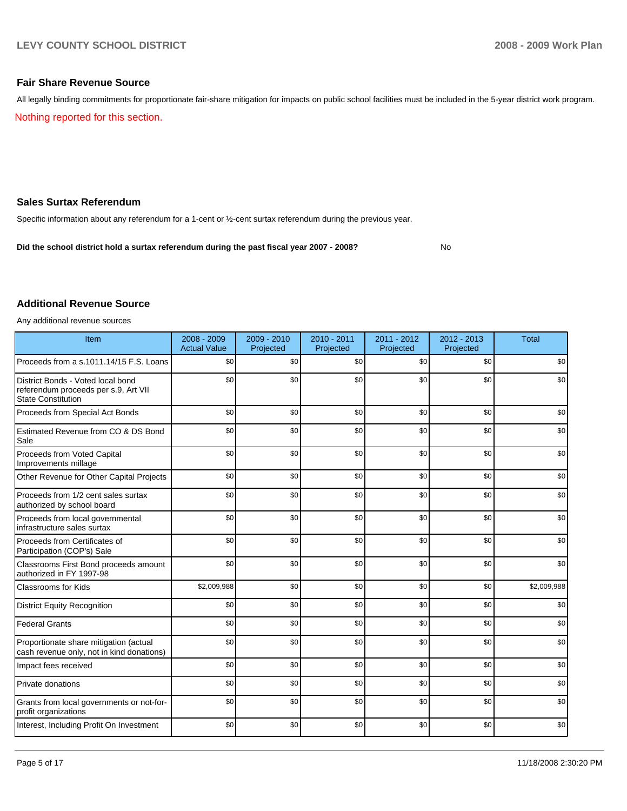#### **Fair Share Revenue Source**

All legally binding commitments for proportionate fair-share mitigation for impacts on public school facilities must be included in the 5-year district work program. Nothing reported for this section.

#### **Sales Surtax Referendum**

Specific information about any referendum for a 1-cent or ½-cent surtax referendum during the previous year.

**Did the school district hold a surtax referendum during the past fiscal year 2007 - 2008?** No

#### **Additional Revenue Source**

Any additional revenue sources

| Item                                                                                                   | 2008 - 2009<br><b>Actual Value</b> | 2009 - 2010<br>Projected | $2010 - 2011$<br>Projected | 2011 - 2012<br>Projected | 2012 - 2013<br>Projected | <b>Total</b> |
|--------------------------------------------------------------------------------------------------------|------------------------------------|--------------------------|----------------------------|--------------------------|--------------------------|--------------|
| Proceeds from a s.1011.14/15 F.S. Loans                                                                | \$0                                | \$0                      | \$0                        | \$0                      | \$0                      | \$0          |
| District Bonds - Voted local bond<br>referendum proceeds per s.9, Art VII<br><b>State Constitution</b> | \$0                                | \$0                      | \$0                        | \$0                      | \$0                      | \$0          |
| Proceeds from Special Act Bonds                                                                        | \$0                                | \$0                      | \$0                        | \$0                      | \$0                      | \$0          |
| Estimated Revenue from CO & DS Bond<br>Sale                                                            | \$0                                | \$0                      | \$0                        | \$0                      | \$0                      | \$0          |
| Proceeds from Voted Capital<br>Improvements millage                                                    | \$0                                | \$0                      | \$0                        | \$0                      | \$0                      | \$0          |
| Other Revenue for Other Capital Projects                                                               | \$0                                | \$0                      | \$0                        | \$0                      | \$0                      | \$0          |
| Proceeds from 1/2 cent sales surtax<br>authorized by school board                                      | \$0                                | \$0                      | \$0                        | \$0                      | \$0                      | \$0          |
| Proceeds from local governmental<br>infrastructure sales surtax                                        | \$0                                | \$0                      | \$0                        | \$0                      | \$0                      | \$0          |
| Proceeds from Certificates of<br>Participation (COP's) Sale                                            | \$0                                | \$0                      | \$0                        | \$0                      | \$0                      | \$0          |
| Classrooms First Bond proceeds amount<br>authorized in FY 1997-98                                      | \$0                                | \$0                      | \$0                        | \$0                      | \$0                      | \$0          |
| Classrooms for Kids                                                                                    | \$2,009,988                        | \$0                      | \$0                        | \$0                      | \$0                      | \$2,009,988  |
| <b>District Equity Recognition</b>                                                                     | \$0                                | \$0                      | \$0                        | \$0                      | \$0                      | \$0          |
| <b>Federal Grants</b>                                                                                  | \$0                                | \$0                      | \$0                        | \$0                      | \$0                      | \$0          |
| Proportionate share mitigation (actual<br>cash revenue only, not in kind donations)                    | \$0                                | \$0                      | \$0                        | \$0                      | \$0                      | \$0          |
| Impact fees received                                                                                   | \$0                                | \$0                      | \$0                        | \$0                      | \$0                      | \$0          |
| Private donations                                                                                      | \$0                                | \$0                      | \$0                        | \$0                      | \$0                      | \$0          |
| Grants from local governments or not-for-<br>profit organizations                                      | \$0                                | \$0                      | \$0                        | \$0                      | \$0                      | \$0          |
| Interest, Including Profit On Investment                                                               | \$0                                | \$0                      | \$0                        | \$0                      | \$0                      | \$0          |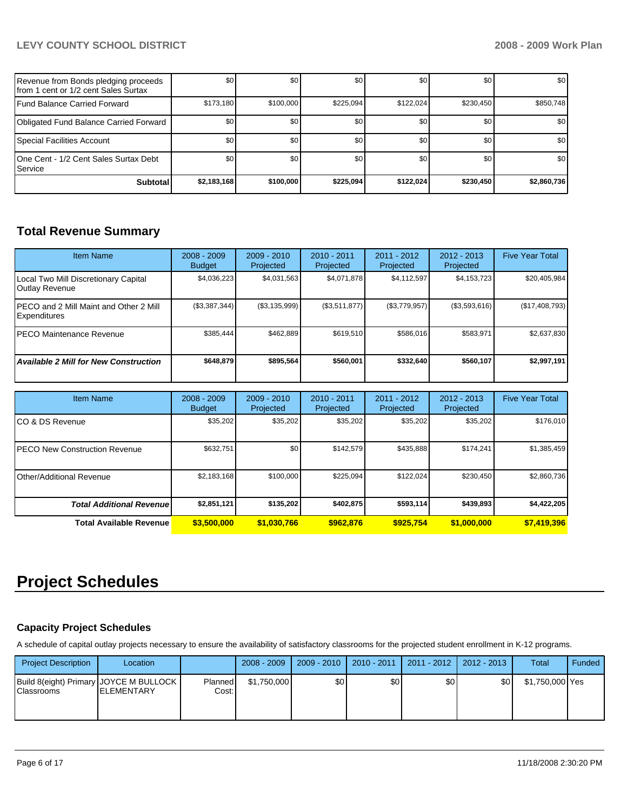# **LEVY COUNTY SCHOOL DISTRICT 2008 - 2009 Work Plan**

| Revenue from Bonds pledging proceeds<br>Ifrom 1 cent or 1/2 cent Sales Surtax | \$0         | \$0       | \$0       | \$0              | \$0              | \$0              |
|-------------------------------------------------------------------------------|-------------|-----------|-----------|------------------|------------------|------------------|
| Fund Balance Carried Forward                                                  | \$173,180   | \$100,000 | \$225.094 | \$122.024        | \$230.450        | \$850,748        |
| Obligated Fund Balance Carried Forward                                        | \$0         | \$0       | \$0       | \$0 <sub>1</sub> | <b>SO</b>        | \$0              |
| Special Facilities Account                                                    | \$0         | \$0       | \$0       | \$0              | \$0 <sub>1</sub> | \$0 <sub>1</sub> |
| 10ne Cent - 1/2 Cent Sales Surtax Debt<br><b>I</b> Service                    | \$0         | \$0       | \$0       | \$0              | \$0 <sub>1</sub> | \$0              |
| <b>Subtotal</b>                                                               | \$2,183,168 | \$100,000 | \$225.094 | \$122,024        | \$230.450        | \$2,860,736      |

# **Total Revenue Summary**

| <b>Item Name</b>                                               | $2008 - 2009$<br><b>Budget</b> | $2009 - 2010$<br>Projected | $2010 - 2011$<br>Projected | $2011 - 2012$<br>Projected | $2012 - 2013$<br>Projected | <b>Five Year Total</b> |
|----------------------------------------------------------------|--------------------------------|----------------------------|----------------------------|----------------------------|----------------------------|------------------------|
| Local Two Mill Discretionary Capital<br>Outlay Revenue         | \$4,036,223                    | \$4,031,563                | \$4,071,878                | \$4,112,597                | \$4,153,723                | \$20,405,984           |
| IPECO and 2 Mill Maint and Other 2 Mill<br><b>Expenditures</b> | (\$3,387,344)                  | (\$3,135,999)              | (\$3,511,877)              | (\$3,779,957)              | (\$3,593,616)              | (\$17,408,793)         |
| IPECO Maintenance Revenue                                      | \$385.444                      | \$462.889                  | \$619.510                  | \$586.016                  | \$583.971                  | \$2,637,830            |
| <b>Available 2 Mill for New Construction</b>                   | \$648,879                      | \$895,564                  | \$560.001                  | \$332,640                  | \$560.107                  | \$2,997,191            |

| <b>Item Name</b>                 | $2008 - 2009$<br><b>Budget</b> | $2009 - 2010$<br>Projected | 2010 - 2011<br>Projected | 2011 - 2012<br>Projected | $2012 - 2013$<br>Projected | <b>Five Year Total</b> |
|----------------------------------|--------------------------------|----------------------------|--------------------------|--------------------------|----------------------------|------------------------|
| ICO & DS Revenue                 | \$35,202                       | \$35,202                   | \$35,202                 | \$35,202                 | \$35,202                   | \$176,010              |
| IPECO New Construction Revenue   | \$632,751                      | \$0                        | \$142.579                | \$435,888                | \$174.241                  | \$1,385,459            |
| Other/Additional Revenue         | \$2,183,168                    | \$100,000                  | \$225.094                | \$122.024                | \$230.450                  | \$2,860,736            |
| <b>Total Additional Revenuel</b> | \$2,851,121                    | \$135.202                  | \$402.875                | \$593,114                | \$439,893                  | \$4,422,205            |
| <b>Total Available Revenue</b>   | \$3,500,000                    | \$1,030,766                | \$962.876                | \$925.754                | \$1,000,000                | \$7,419,396            |

# **Project Schedules**

## **Capacity Project Schedules**

A schedule of capital outlay projects necessary to ensure the availability of satisfactory classrooms for the projected student enrollment in K-12 programs.

| <b>Project Description</b> | Location                                                       |                  | $2008 - 2009$ | $2009 - 2010$    |     | 2010 - 2011   2011 - 2012 | 2012 - 2013      | Total           | Funded |
|----------------------------|----------------------------------------------------------------|------------------|---------------|------------------|-----|---------------------------|------------------|-----------------|--------|
| Classrooms                 | Build 8(eight) Primary JOYCE M BULLOCK  <br><b>IELEMENTARY</b> | Planned<br>Cost: | \$1,750,000   | \$0 <sub>1</sub> | \$0 | \$0                       | \$0 <sub>1</sub> | \$1,750,000 Yes |        |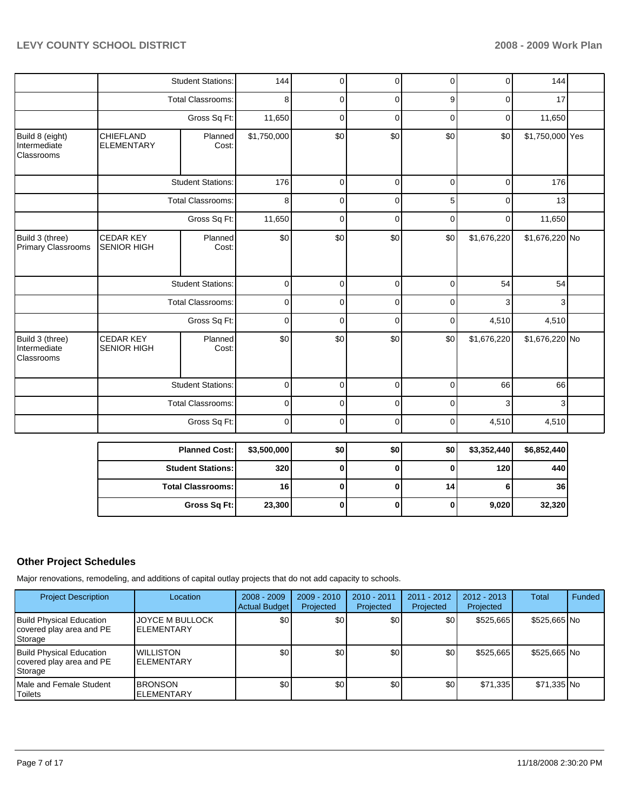|                                                      |                                        | <b>Student Stations:</b> | 144         | $\mathbf 0$ | 0           | 0           | 0           | 144             |  |
|------------------------------------------------------|----------------------------------------|--------------------------|-------------|-------------|-------------|-------------|-------------|-----------------|--|
|                                                      |                                        | <b>Total Classrooms:</b> | 8           | $\mathbf 0$ | $\mathbf 0$ | 9           | $\mathbf 0$ | 17              |  |
|                                                      |                                        | Gross Sq Ft:             | 11,650      | $\mathbf 0$ | $\mathbf 0$ | $\mathbf 0$ | $\mathbf 0$ | 11,650          |  |
| Build 8 (eight)<br>Intermediate<br><b>Classrooms</b> | CHIEFLAND<br><b>ELEMENTARY</b>         | Planned<br>Cost:         | \$1,750,000 | \$0         | \$0         | \$0         | \$0         | \$1,750,000 Yes |  |
|                                                      |                                        | <b>Student Stations:</b> | 176         | $\mathbf 0$ | $\pmb{0}$   | $\mathbf 0$ | $\mathbf 0$ | 176             |  |
|                                                      |                                        | Total Classrooms:        | 8           | $\Omega$    | $\mathbf 0$ | 5           | $\mathbf 0$ | 13              |  |
|                                                      |                                        | Gross Sq Ft:             | 11,650      | $\mathbf 0$ | $\mathbf 0$ | $\mathbf 0$ | $\mathbf 0$ | 11,650          |  |
| Build 3 (three)<br><b>Primary Classrooms</b>         | <b>CEDAR KEY</b><br><b>SENIOR HIGH</b> | Planned<br>Cost:         | \$0         | \$0         | \$0         | \$0         | \$1,676,220 | \$1,676,220 No  |  |
|                                                      |                                        | <b>Student Stations:</b> | $\mathbf 0$ | $\mathbf 0$ | $\mathbf 0$ | $\mathbf 0$ | 54          | 54              |  |
|                                                      |                                        | <b>Total Classrooms:</b> | $\mathbf 0$ | $\mathbf 0$ | $\pmb{0}$   | $\mathbf 0$ | 3           | 3               |  |
|                                                      |                                        | Gross Sq Ft:             | $\mathbf 0$ | $\mathbf 0$ | $\mathbf 0$ | 0           | 4,510       | 4,510           |  |
| Build 3 (three)<br>Intermediate<br>Classrooms        | <b>CEDAR KEY</b><br><b>SENIOR HIGH</b> | Planned<br>Cost:         | \$0         | \$0         | \$0         | \$0         | \$1,676,220 | \$1,676,220 No  |  |
|                                                      |                                        | <b>Student Stations:</b> | $\mathbf 0$ | $\mathbf 0$ | $\pmb{0}$   | $\mathbf 0$ | 66          | 66              |  |
|                                                      |                                        | <b>Total Classrooms:</b> | $\mathbf 0$ | $\mathbf 0$ | $\mathbf 0$ | $\Omega$    | 3           | 3               |  |
|                                                      |                                        | Gross Sq Ft:             | $\mathbf 0$ | $\mathbf 0$ | $\mathbf 0$ | $\mathbf 0$ | 4,510       | 4,510           |  |
|                                                      |                                        | <b>Planned Cost:</b>     | \$3,500,000 | \$0         | \$0         | \$0         | \$3,352,440 | \$6,852,440     |  |
|                                                      |                                        | <b>Student Stations:</b> | 320         | $\mathbf 0$ | $\bf{0}$    | $\bf{0}$    | 120         | 440             |  |
|                                                      |                                        | <b>Total Classrooms:</b> | 16          | $\pmb{0}$   | $\pmb{0}$   | 14          | 6           | 36              |  |
|                                                      |                                        |                          |             |             |             |             |             |                 |  |

# **Other Project Schedules**

Major renovations, remodeling, and additions of capital outlay projects that do not add capacity to schools.

| <b>Project Description</b>                                             | Location                                    | $2008 - 2009$<br><b>Actual Budget</b> | $2009 - 2010$<br>Projected | $2010 - 2011$<br>Projected | $2011 - 2012$<br>Projected | $2012 - 2013$<br>Projected | Total        | Funded |
|------------------------------------------------------------------------|---------------------------------------------|---------------------------------------|----------------------------|----------------------------|----------------------------|----------------------------|--------------|--------|
| <b>Build Physical Education</b><br>covered play area and PE<br>Storage | <b>JOYCE M BULLOCK</b><br><b>ELEMENTARY</b> | \$0                                   | \$0                        | \$0                        | \$0                        | \$525,665                  | \$525,665 No |        |
| <b>Build Physical Education</b><br>covered play area and PE<br>Storage | <b>WILLISTON</b><br><b>ELEMENTARY</b>       | \$0                                   | \$0                        | \$0                        | \$0                        | \$525.665                  | \$525,665 No |        |
| <b>IMale and Female Student</b><br><b>Toilets</b>                      | <b>BRONSON</b><br><b>IELEMENTARY</b>        | \$0                                   | \$0                        | \$0                        | \$0                        | \$71,335                   | \$71,335 No  |        |

**Gross Sq Ft:** 23,300 0 0 0 9,020 32,320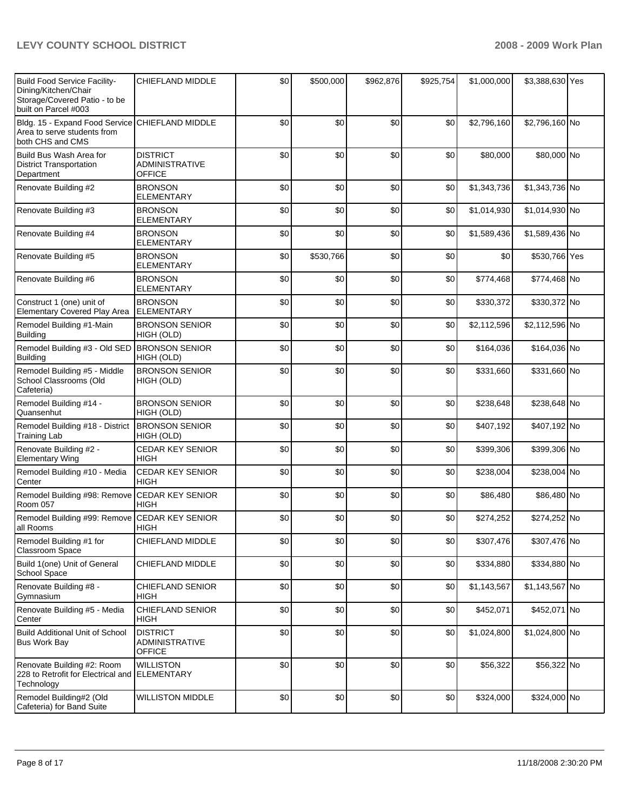| Build Food Service Facility-<br>Dining/Kitchen/Chair<br>Storage/Covered Patio - to be<br>built on Parcel #003 | <b>CHIEFLAND MIDDLE</b>                                   | \$0 | \$500,000 | \$962,876 | \$925,754 | \$1,000,000 | \$3,388,630 Yes |  |
|---------------------------------------------------------------------------------------------------------------|-----------------------------------------------------------|-----|-----------|-----------|-----------|-------------|-----------------|--|
| Bldg. 15 - Expand Food Service CHIEFLAND MIDDLE<br>Area to serve students from<br>both CHS and CMS            |                                                           | \$0 | \$0       | \$0       | \$0       | \$2,796,160 | \$2,796,160 No  |  |
| Build Bus Wash Area for<br><b>District Transportation</b><br>Department                                       | <b>DISTRICT</b><br><b>ADMINISTRATIVE</b><br>OFFICE        | \$0 | \$0       | \$0       | \$0       | \$80,000    | \$80,000 No     |  |
| Renovate Building #2                                                                                          | <b>BRONSON</b><br><b>ELEMENTARY</b>                       | \$0 | \$0       | \$0       | \$0       | \$1,343,736 | \$1,343,736 No  |  |
| Renovate Building #3                                                                                          | <b>BRONSON</b><br><b>ELEMENTARY</b>                       | \$0 | \$0       | \$0       | \$0       | \$1,014,930 | \$1,014,930 No  |  |
| Renovate Building #4                                                                                          | <b>BRONSON</b><br><b>ELEMENTARY</b>                       | \$0 | \$0       | \$0       | \$0       | \$1,589,436 | \$1,589,436 No  |  |
| Renovate Building #5                                                                                          | <b>BRONSON</b><br><b>ELEMENTARY</b>                       | \$0 | \$530,766 | \$0       | \$0       | \$0         | \$530,766 Yes   |  |
| Renovate Building #6                                                                                          | <b>BRONSON</b><br><b>ELEMENTARY</b>                       | \$0 | \$0       | \$0       | \$0       | \$774,468   | \$774,468 No    |  |
| Construct 1 (one) unit of<br>Elementary Covered Play Area                                                     | <b>BRONSON</b><br><b>ELEMENTARY</b>                       | \$0 | \$0       | \$0       | \$0       | \$330,372   | \$330,372 No    |  |
| Remodel Building #1-Main<br>Building                                                                          | <b>BRONSON SENIOR</b><br>HIGH (OLD)                       | \$0 | \$0       | \$0       | \$0       | \$2,112,596 | \$2,112,596 No  |  |
| Remodel Building #3 - Old SED<br>Building                                                                     | <b>BRONSON SENIOR</b><br>HIGH (OLD)                       | \$0 | \$0       | \$0       | \$0       | \$164,036   | \$164,036 No    |  |
| Remodel Building #5 - Middle<br>School Classrooms (Old<br>Cafeteria)                                          | <b>BRONSON SENIOR</b><br>HIGH (OLD)                       | \$0 | \$0       | \$0       | \$0       | \$331,660   | \$331,660 No    |  |
| Remodel Building #14 -<br>Quansenhut                                                                          | <b>BRONSON SENIOR</b><br>HIGH (OLD)                       | \$0 | \$0       | \$0       | \$0       | \$238,648   | \$238,648 No    |  |
| Remodel Building #18 - District<br><b>Training Lab</b>                                                        | <b>BRONSON SENIOR</b><br>HIGH (OLD)                       | \$0 | \$0       | \$0       | \$0       | \$407,192   | \$407,192 No    |  |
| Renovate Building #2 -<br><b>Elementary Wing</b>                                                              | CEDAR KEY SENIOR<br><b>HIGH</b>                           | \$0 | \$0       | \$0       | \$0       | \$399,306   | \$399,306 No    |  |
| Remodel Building #10 - Media<br>Center                                                                        | <b>CEDAR KEY SENIOR</b><br><b>HIGH</b>                    | \$0 | \$0       | \$0       | \$0       | \$238,004   | \$238,004 No    |  |
| Remodel Building #98: Remove<br>Room 057                                                                      | <b>CEDAR KEY SENIOR</b><br><b>HIGH</b>                    | \$0 | \$0       | \$0       | \$0       | \$86,480    | \$86,480 No     |  |
| Remodel Building #99: Remove<br>all Rooms                                                                     | <b>CEDAR KEY SENIOR</b><br>HIGH                           | \$0 | \$0       | \$0       | \$0       | \$274,252   | \$274,252 No    |  |
| Remodel Building #1 for<br><b>Classroom Space</b>                                                             | CHIEFLAND MIDDLE                                          | \$0 | \$0       | \$0       | \$0       | \$307,476   | \$307,476 No    |  |
| Build 1(one) Unit of General<br>School Space                                                                  | CHIEFLAND MIDDLE                                          | \$0 | \$0       | \$0       | \$0       | \$334,880   | \$334,880 No    |  |
| Renovate Building #8 -<br>Gymnasium                                                                           | <b>CHIEFLAND SENIOR</b><br><b>HIGH</b>                    | \$0 | \$0       | \$0       | \$0       | \$1,143,567 | \$1,143,567 No  |  |
| Renovate Building #5 - Media<br>Center                                                                        | <b>CHIEFLAND SENIOR</b><br>HIGH                           | \$0 | \$0       | \$0       | \$0       | \$452,071   | \$452,071 No    |  |
| <b>Build Additional Unit of School</b><br><b>Bus Work Bay</b>                                                 | <b>DISTRICT</b><br><b>ADMINISTRATIVE</b><br><b>OFFICE</b> | \$0 | \$0       | \$0       | \$0       | \$1,024,800 | \$1,024,800 No  |  |
| Renovate Building #2: Room<br>228 to Retrofit for Electrical and ELEMENTARY<br>Technology                     | <b>WILLISTON</b>                                          | \$0 | \$0       | \$0       | \$0       | \$56,322    | \$56,322 No     |  |
| Remodel Building#2 (Old<br>Cafeteria) for Band Suite                                                          | <b>WILLISTON MIDDLE</b>                                   | \$0 | \$0       | \$0       | \$0       | \$324,000   | \$324,000 No    |  |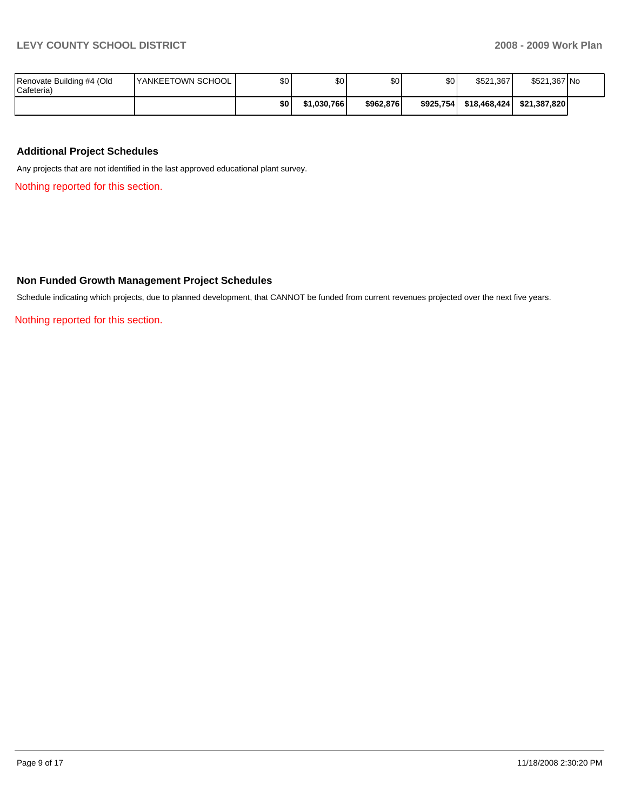|                                         |                           | \$0      | \$1.030.766 | \$962.876 | \$925.754 | \$18,468,424 | \$21,387,820 |  |
|-----------------------------------------|---------------------------|----------|-------------|-----------|-----------|--------------|--------------|--|
| Renovate Building #4 (Old<br>Cafeteria) | <b>IYANKEETOWN SCHOOL</b> | ¢∩<br>υΨ | \$0         | \$0       | ሰሰ<br>JU. | \$521.367    | \$521,367 No |  |

#### **Additional Project Schedules**

Any projects that are not identified in the last approved educational plant survey.

Nothing reported for this section.

#### **Non Funded Growth Management Project Schedules**

Schedule indicating which projects, due to planned development, that CANNOT be funded from current revenues projected over the next five years.

Nothing reported for this section.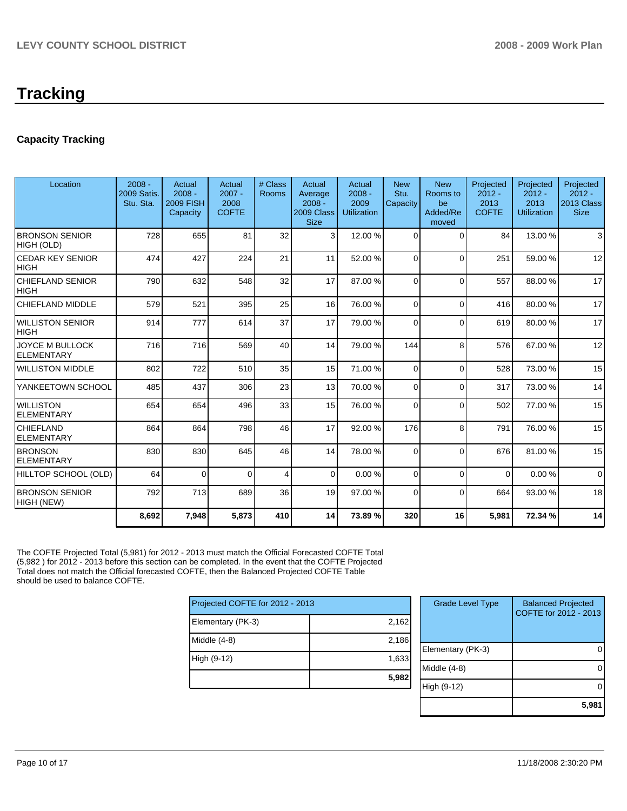# **Tracking**

# **Capacity Tracking**

| Location                                    | $2008 -$<br><b>2009 Satis.</b><br>Stu. Sta. | Actual<br>$2008 -$<br><b>2009 FISH</b><br>Capacity | Actual<br>$2007 -$<br>2008<br><b>COFTE</b> | # Class<br>Rooms | Actual<br>Average<br>$2008 -$<br>2009 Class<br><b>Size</b> | Actual<br>$2008 -$<br>2009<br><b>Utilization</b> | <b>New</b><br>Stu.<br>Capacity | <b>New</b><br>Rooms to<br>be<br>Added/Re<br>moved | Projected<br>$2012 -$<br>2013<br><b>COFTE</b> | Projected<br>$2012 -$<br>2013<br><b>Utilization</b> | Projected<br>$2012 -$<br>2013 Class<br><b>Size</b> |
|---------------------------------------------|---------------------------------------------|----------------------------------------------------|--------------------------------------------|------------------|------------------------------------------------------------|--------------------------------------------------|--------------------------------|---------------------------------------------------|-----------------------------------------------|-----------------------------------------------------|----------------------------------------------------|
| <b>BRONSON SENIOR</b><br>HIGH (OLD)         | 728                                         | 655                                                | 81                                         | 32               | 3                                                          | 12.00 %                                          | $\Omega$                       | $\Omega$                                          | 84                                            | 13.00 %                                             | 3                                                  |
| <b>CEDAR KEY SENIOR</b><br><b>HIGH</b>      | 474                                         | 427                                                | 224                                        | 21               | 11                                                         | 52.00 %                                          | $\Omega$                       | $\Omega$                                          | 251                                           | 59.00 %                                             | 12                                                 |
| <b>CHIEFLAND SENIOR</b><br><b>HIGH</b>      | 790                                         | 632                                                | 548                                        | 32               | 17                                                         | 87.00 %                                          | $\Omega$                       | $\Omega$                                          | 557                                           | 88.00 %                                             | 17                                                 |
| <b>CHIEFLAND MIDDLE</b>                     | 579                                         | 521                                                | 395                                        | 25               | 16                                                         | 76.00 %                                          | $\Omega$                       | $\Omega$                                          | 416                                           | 80.00 %                                             | 17                                                 |
| <b>WILLISTON SENIOR</b><br><b>HIGH</b>      | 914                                         | 777                                                | 614                                        | 37               | 17                                                         | 79.00 %                                          | $\Omega$                       | $\Omega$                                          | 619                                           | 80.00 %                                             | 17                                                 |
| <b>JOYCE M BULLOCK</b><br><b>ELEMENTARY</b> | 716                                         | 716                                                | 569                                        | 40               | 14                                                         | 79.00 %                                          | 144                            | 8                                                 | 576                                           | 67.00 %                                             | 12                                                 |
| <b>WILLISTON MIDDLE</b>                     | 802                                         | 722                                                | 510                                        | 35               | 15                                                         | 71.00 %                                          | $\Omega$                       | $\Omega$                                          | 528                                           | 73.00 %                                             | 15                                                 |
| YANKEETOWN SCHOOL                           | 485                                         | 437                                                | 306                                        | 23               | 13                                                         | 70.00 %                                          | $\Omega$                       | $\Omega$                                          | 317                                           | 73.00 %                                             | 14                                                 |
| <b>WILLISTON</b><br><b>ELEMENTARY</b>       | 654                                         | 654                                                | 496                                        | 33               | 15                                                         | 76.00 %                                          | $\Omega$                       | $\Omega$                                          | 502                                           | 77.00 %                                             | 15                                                 |
| <b>CHIEFLAND</b><br><b>ELEMENTARY</b>       | 864                                         | 864                                                | 798                                        | 46               | 17                                                         | 92.00 %                                          | 176                            | 8                                                 | 791                                           | 76.00 %                                             | 15                                                 |
| <b>BRONSON</b><br><b>ELEMENTARY</b>         | 830                                         | 830                                                | 645                                        | 46               | 14                                                         | 78.00 %                                          | $\Omega$                       | $\Omega$                                          | 676                                           | 81.00 %                                             | 15                                                 |
| HILLTOP SCHOOL (OLD)                        | 64                                          | $\Omega$                                           | $\Omega$                                   | 4                | $\overline{0}$                                             | 0.00%                                            | $\Omega$                       | $\Omega$                                          | $\Omega$                                      | 0.00%                                               | $\Omega$                                           |
| <b>BRONSON SENIOR</b><br>HIGH (NEW)         | 792                                         | 713                                                | 689                                        | 36               | 19                                                         | 97.00 %                                          | $\Omega$                       | $\Omega$                                          | 664                                           | 93.00 %                                             | 18                                                 |
|                                             | 8.692                                       | 7,948                                              | 5,873                                      | 410              | 14                                                         | 73.89%                                           | 320                            | 16                                                | 5,981                                         | 72.34 %                                             | 14                                                 |

The COFTE Projected Total (5,981) for 2012 - 2013 must match the Official Forecasted COFTE Total (5,982 ) for 2012 - 2013 before this section can be completed. In the event that the COFTE Projected Total does not match the Official forecasted COFTE, then the Balanced Projected COFTE Table should be used to balance COFTE.

| Projected COFTE for 2012 - 2013 |       |  |  |  |  |  |
|---------------------------------|-------|--|--|--|--|--|
| Elementary (PK-3)               | 2,162 |  |  |  |  |  |
| Middle $(4-8)$                  | 2,186 |  |  |  |  |  |
| High (9-12)                     | 1,633 |  |  |  |  |  |
|                                 | 5,982 |  |  |  |  |  |

| <b>Grade Level Type</b> | <b>Balanced Projected</b><br>COFTE for 2012 - 2013 |
|-------------------------|----------------------------------------------------|
| Elementary (PK-3)       |                                                    |
| Middle $(4-8)$          |                                                    |
| High (9-12)             |                                                    |
|                         | 5.981                                              |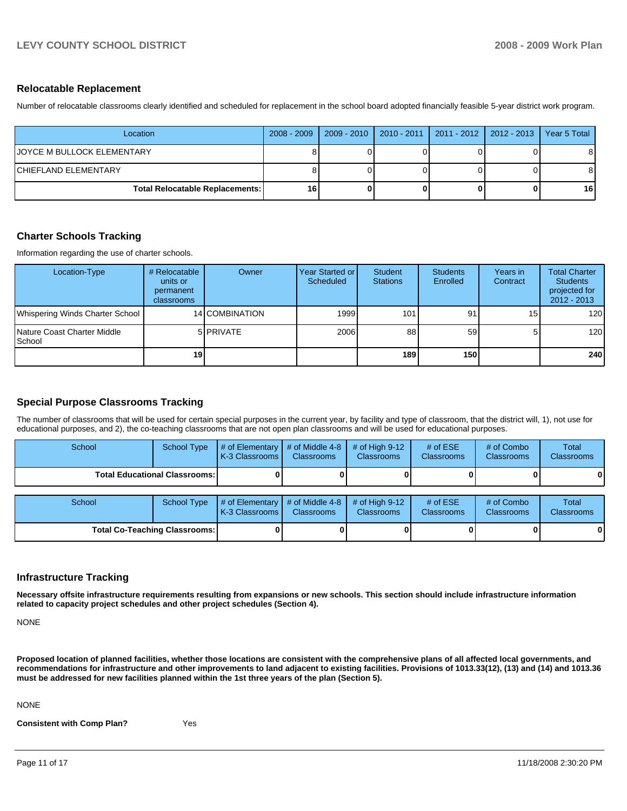#### **Relocatable Replacement**

Number of relocatable classrooms clearly identified and scheduled for replacement in the school board adopted financially feasible 5-year district work program.

| Location                               | $2008 - 2009$ |  | 2009 - 2010   2010 - 2011   2011 - 2012   2012 - 2013   1 | Year 5 Total    |
|----------------------------------------|---------------|--|-----------------------------------------------------------|-----------------|
| IJOYCE M BULLOCK ELEMENTARY            |               |  |                                                           | 81              |
| ICHIEFLAND ELEMENTARY                  |               |  |                                                           | 81              |
| <b>Total Relocatable Replacements:</b> | 16            |  |                                                           | 16 <sup>1</sup> |

#### **Charter Schools Tracking**

Information regarding the use of charter schools.

| Location-Type                           | # Relocatable<br>units or<br>permanent<br>classrooms | Owner          | Year Started or I<br>Scheduled | Student<br><b>Stations</b> | <b>Students</b><br>Enrolled | Years in<br>Contract | <b>Total Charter</b><br><b>Students</b><br>projected for<br>$2012 - 2013$ |
|-----------------------------------------|------------------------------------------------------|----------------|--------------------------------|----------------------------|-----------------------------|----------------------|---------------------------------------------------------------------------|
| Whispering Winds Charter School         |                                                      | 14 COMBINATION | 1999                           | 101                        | 91                          | 15                   | 120                                                                       |
| Nature Coast Charter Middle<br>l School |                                                      | 5 PRIVATE      | 2006                           | 88                         | 59 <sub>l</sub>             | 5.                   | 120                                                                       |
|                                         | 19 <sup>1</sup>                                      |                |                                | 189 <sup>1</sup>           | 150 l                       |                      | 240                                                                       |

## **Special Purpose Classrooms Tracking**

The number of classrooms that will be used for certain special purposes in the current year, by facility and type of classroom, that the district will, 1), not use for educational purposes, and 2), the co-teaching classrooms that are not open plan classrooms and will be used for educational purposes.

| School                               | <b>School Type</b>                   | # of Elementary<br>K-3 Classrooms I | # of Middle 4-8<br><b>Classrooms</b> | # of High $9-12$<br><b>Classrooms</b> | # of $ESE$<br><b>Classrooms</b> | # of Combo<br>Classrooms | Total<br><b>Classrooms</b> |
|--------------------------------------|--------------------------------------|-------------------------------------|--------------------------------------|---------------------------------------|---------------------------------|--------------------------|----------------------------|
|                                      | <b>Total Educational Classrooms:</b> |                                     |                                      |                                       |                                 |                          |                            |
| School                               | <b>School Type</b>                   | # of Elementary<br>K-3 Classrooms I | # of Middle 4-8<br><b>Classrooms</b> | # of High $9-12$<br><b>Classrooms</b> | # of $ESE$<br><b>Classrooms</b> | # of Combo<br>Classrooms | Total<br><b>Classrooms</b> |
| <b>Total Co-Teaching Classrooms:</b> |                                      |                                     |                                      |                                       |                                 |                          |                            |

## **Infrastructure Tracking**

**Necessary offsite infrastructure requirements resulting from expansions or new schools. This section should include infrastructure information related to capacity project schedules and other project schedules (Section 4).** 

NONE

**Proposed location of planned facilities, whether those locations are consistent with the comprehensive plans of all affected local governments, and recommendations for infrastructure and other improvements to land adjacent to existing facilities. Provisions of 1013.33(12), (13) and (14) and 1013.36 must be addressed for new facilities planned within the 1st three years of the plan (Section 5).** 

NONE

**Consistent with Comp Plan?** Yes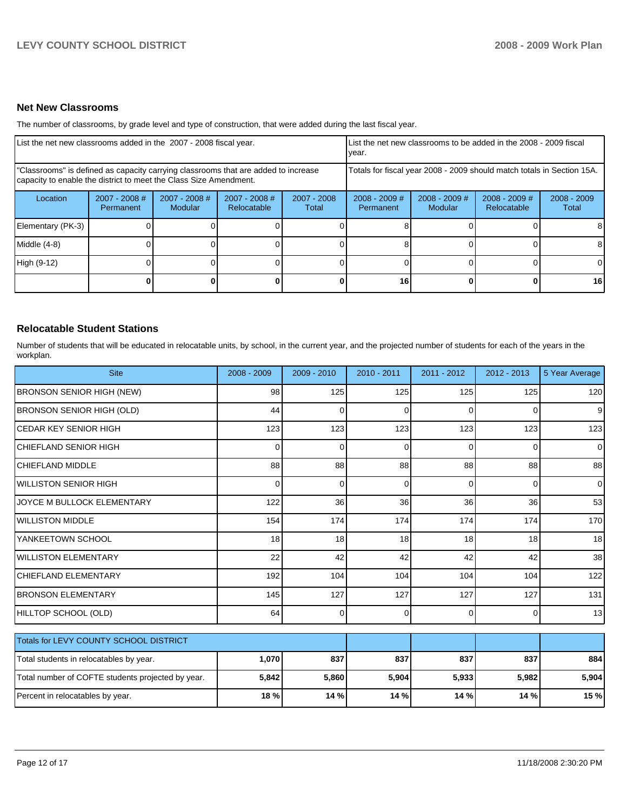## **Net New Classrooms**

The number of classrooms, by grade level and type of construction, that were added during the last fiscal year.

| List the net new classrooms added in the 2007 - 2008 fiscal year.                                                                                       |                                     |                                 |                              | List the net new classrooms to be added in the 2008 - 2009 fiscal<br>year. |                              |                            |                                |                        |
|---------------------------------------------------------------------------------------------------------------------------------------------------------|-------------------------------------|---------------------------------|------------------------------|----------------------------------------------------------------------------|------------------------------|----------------------------|--------------------------------|------------------------|
| "Classrooms" is defined as capacity carrying classrooms that are added to increase<br>capacity to enable the district to meet the Class Size Amendment. |                                     |                                 |                              | Totals for fiscal year 2008 - 2009 should match totals in Section 15A.     |                              |                            |                                |                        |
| Location                                                                                                                                                | $2007 - 2008$ #<br><b>Permanent</b> | 2007 - 2008 #<br><b>Modular</b> | 2007 - 2008 #<br>Relocatable | 2007 - 2008<br>Total                                                       | $2008 - 2009$ #<br>Permanent | $2008 - 2009$ #<br>Modular | $2008 - 2009$ #<br>Relocatable | $2008 - 2009$<br>Total |
| Elementary (PK-3)                                                                                                                                       |                                     |                                 |                              |                                                                            |                              |                            |                                | 8                      |
| Middle (4-8)                                                                                                                                            |                                     |                                 |                              |                                                                            |                              |                            | ΩI                             | 8                      |
| High (9-12)                                                                                                                                             |                                     |                                 |                              |                                                                            |                              |                            |                                | $\Omega$               |
|                                                                                                                                                         |                                     |                                 |                              | O I                                                                        | 16                           |                            | 0                              | 16 <sup>1</sup>        |

# **Relocatable Student Stations**

Number of students that will be educated in relocatable units, by school, in the current year, and the projected number of students for each of the years in the workplan.

| <b>Site</b>                                       | 2008 - 2009 | $2009 - 2010$ | 2010 - 2011 | 2011 - 2012 | $2012 - 2013$ | 5 Year Average |
|---------------------------------------------------|-------------|---------------|-------------|-------------|---------------|----------------|
| <b>BRONSON SENIOR HIGH (NEW)</b>                  | 98          | 125           | 125         | 125         | 125           | 120            |
| <b>BRONSON SENIOR HIGH (OLD)</b>                  | 44          | $\mathbf 0$   | $\Omega$    | $\Omega$    | 0             | 9              |
| <b>CEDAR KEY SENIOR HIGH</b>                      | 123         | 123           | 123         | 123         | 123           | 123            |
| CHIEFLAND SENIOR HIGH                             | 0           | $\mathbf 0$   | 0           | 0           | 0             | $\overline{0}$ |
| <b>CHIEFLAND MIDDLE</b>                           | 88          | 88            | 88          | 88          | 88            | 88             |
| IWILLISTON SENIOR HIGH                            | $\Omega$    | $\Omega$      | $\Omega$    | $\Omega$    | 0             | $\overline{0}$ |
| JOYCE M BULLOCK ELEMENTARY                        | 122         | 36            | 36          | 36          | 36            | 53             |
| <b>I</b> WILLISTON MIDDLE                         | 154         | 174           | 174         | 174         | 174           | 170            |
| YANKEETOWN SCHOOL                                 | 18          | 18            | 18          | 18          | 18            | 18             |
| IWILLISTON ELEMENTARY                             | 22          | 42            | 42          | 42          | 42            | 38             |
| <b>CHIEFLAND ELEMENTARY</b>                       | 192         | 104           | 104         | 104         | 104           | 122            |
| <b>BRONSON ELEMENTARY</b>                         | 145         | 127           | 127         | 127         | 127           | 131            |
| HILLTOP SCHOOL (OLD)                              | 64          | $\Omega$      | $\Omega$    | $\Omega$    | 0             | 13             |
| <b>Totals for LEVY COUNTY SCHOOL DISTRICT</b>     |             |               |             |             |               |                |
| Total students in relocatables by year.           | 1,070       | 837           | 837         | 837         | 837           | 884            |
| Total number of COFTE students projected by year. | 5,842       | 5,860         | 5,904       | 5,933       | 5,982         | 5,904          |
| Percent in relocatables by year.                  | 18 %        | 14 %          | 14 %        | 14 %        | 14 %          | 15 %           |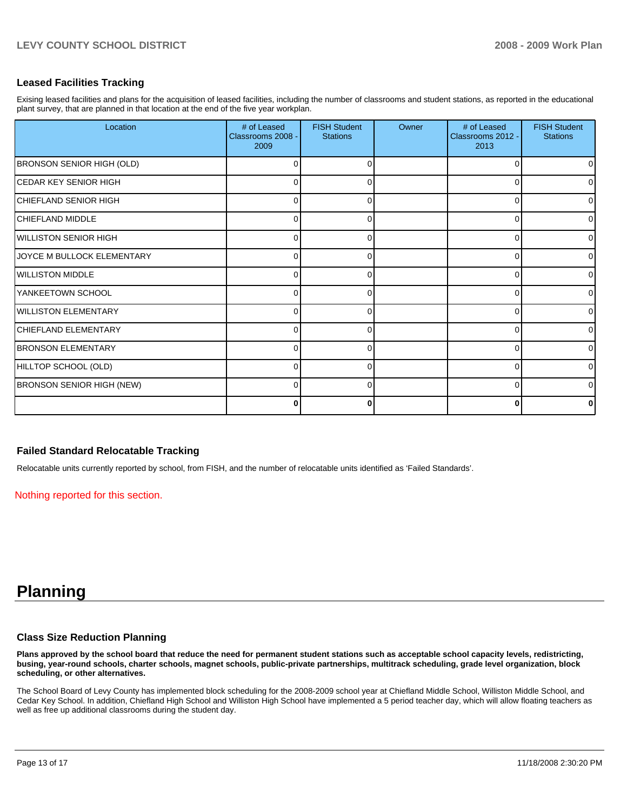#### **Leased Facilities Tracking**

Exising leased facilities and plans for the acquisition of leased facilities, including the number of classrooms and student stations, as reported in the educational plant survey, that are planned in that location at the end of the five year workplan.

| Location                          | # of Leased<br>Classrooms 2008 -<br>2009 | <b>FISH Student</b><br><b>Stations</b> | Owner | # of Leased<br>Classrooms 2012 -<br>2013 | <b>FISH Student</b><br><b>Stations</b> |
|-----------------------------------|------------------------------------------|----------------------------------------|-------|------------------------------------------|----------------------------------------|
| BRONSON SENIOR HIGH (OLD)         |                                          |                                        |       | O                                        | 0                                      |
| CEDAR KEY SENIOR HIGH             | 0                                        | 0                                      |       | 0                                        | $\overline{0}$                         |
| CHIEFLAND SENIOR HIGH             | $\Omega$                                 | C                                      |       | $\Omega$                                 | $\overline{0}$                         |
| CHIEFLAND MIDDLE                  | ∩                                        |                                        |       | C                                        | 0                                      |
| WILLISTON SENIOR HIGH             | 0                                        | ∩                                      |       | $\Omega$                                 | $\overline{0}$                         |
| <b>JOYCE M BULLOCK ELEMENTARY</b> | $\Omega$                                 |                                        |       | 0                                        | $\overline{0}$                         |
| <b>I</b> WILLISTON MIDDLE         | ∩                                        |                                        |       | 0                                        | $\Omega$                               |
| IYANKEETOWN SCHOOL                | 0                                        | 0                                      |       | $\Omega$                                 | $\overline{0}$                         |
| <b>WILLISTON ELEMENTARY</b>       | $\Omega$                                 | ∩                                      |       | $\Omega$                                 | $\overline{0}$                         |
| CHIEFLAND ELEMENTARY              | U                                        |                                        |       | 0                                        | $\overline{0}$                         |
| <b>BRONSON ELEMENTARY</b>         | 0                                        | ∩                                      |       | 0                                        | $\overline{0}$                         |
| HILLTOP SCHOOL (OLD)              | $\Omega$                                 | C                                      |       | $\Omega$                                 | $\overline{0}$                         |
| <b>BRONSON SENIOR HIGH (NEW)</b>  |                                          |                                        |       | C                                        | $\Omega$                               |
|                                   | 0                                        | 0                                      |       | 0                                        | 0                                      |

#### **Failed Standard Relocatable Tracking**

Relocatable units currently reported by school, from FISH, and the number of relocatable units identified as 'Failed Standards'.

Nothing reported for this section.

# **Planning**

#### **Class Size Reduction Planning**

**Plans approved by the school board that reduce the need for permanent student stations such as acceptable school capacity levels, redistricting, busing, year-round schools, charter schools, magnet schools, public-private partnerships, multitrack scheduling, grade level organization, block scheduling, or other alternatives.** 

The School Board of Levy County has implemented block scheduling for the 2008-2009 school year at Chiefland Middle School, Williston Middle School, and Cedar Key School. In addition, Chiefland High School and Williston High School have implemented a 5 period teacher day, which will allow floating teachers as well as free up additional classrooms during the student day.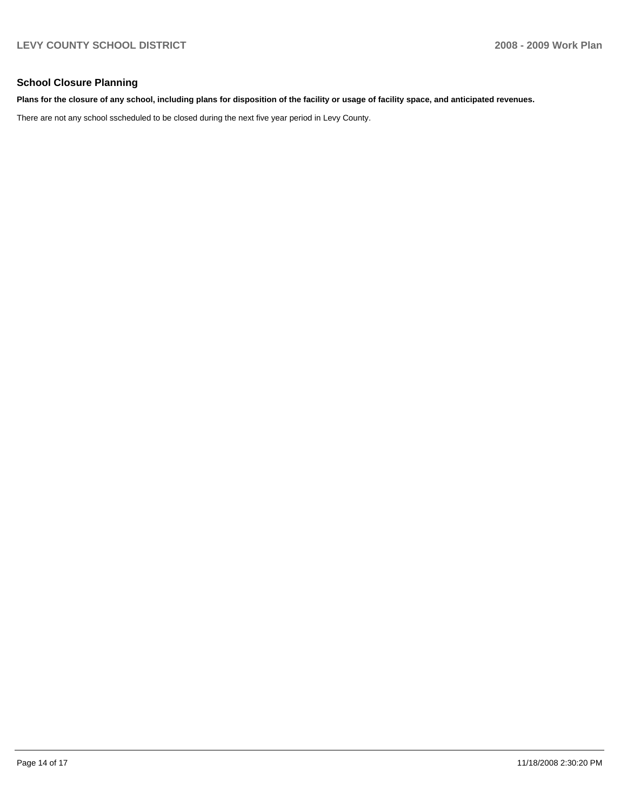## **School Closure Planning**

#### **Plans for the closure of any school, including plans for disposition of the facility or usage of facility space, and anticipated revenues.**

There are not any school sscheduled to be closed during the next five year period in Levy County.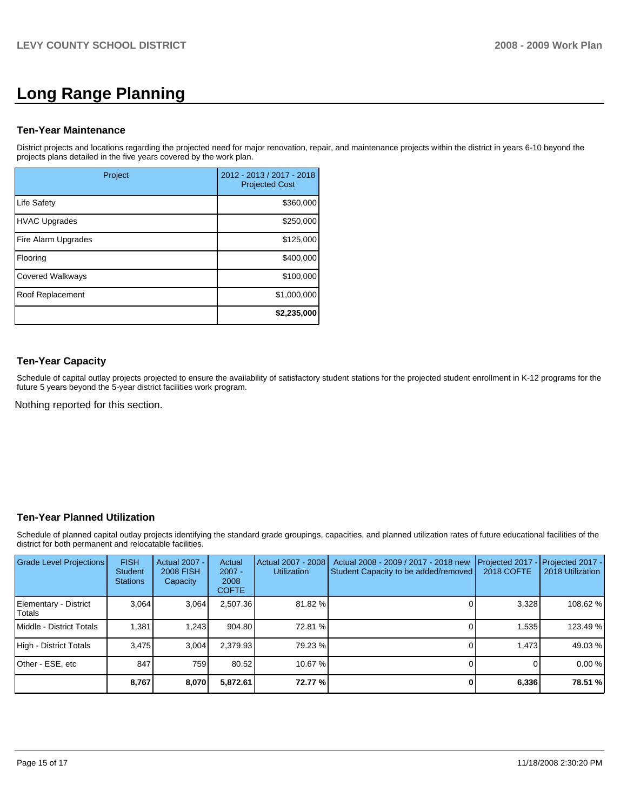# **Long Range Planning**

#### **Ten-Year Maintenance**

District projects and locations regarding the projected need for major renovation, repair, and maintenance projects within the district in years 6-10 beyond the projects plans detailed in the five years covered by the work plan.

| Project                 | 2012 - 2013 / 2017 - 2018<br><b>Projected Cost</b> |
|-------------------------|----------------------------------------------------|
| <b>Life Safety</b>      | \$360,000                                          |
| <b>HVAC Upgrades</b>    | \$250,000                                          |
| Fire Alarm Upgrades     | \$125,000                                          |
| Flooring                | \$400,000                                          |
| <b>Covered Walkways</b> | \$100,000                                          |
| Roof Replacement        | \$1,000,000                                        |
|                         | \$2,235,000                                        |

# **Ten-Year Capacity**

Schedule of capital outlay projects projected to ensure the availability of satisfactory student stations for the projected student enrollment in K-12 programs for the future 5 years beyond the 5-year district facilities work program.

Nothing reported for this section.

## **Ten-Year Planned Utilization**

Schedule of planned capital outlay projects identifying the standard grade groupings, capacities, and planned utilization rates of future educational facilities of the district for both permanent and relocatable facilities.

| Grade Level Projections         | <b>FISH</b><br><b>Student</b><br><b>Stations</b> | <b>Actual 2007 -</b><br><b>2008 FISH</b><br>Capacity | Actual<br>$2007 -$<br>2008<br><b>COFTE</b> | Actual 2007 - 2008<br><b>Utilization</b> | Actual 2008 - 2009 / 2017 - 2018 new<br>Student Capacity to be added/removed | Projected 2017<br>2018 COFTE | $-$ Projected 2017 -<br>2018 Utilization |
|---------------------------------|--------------------------------------------------|------------------------------------------------------|--------------------------------------------|------------------------------------------|------------------------------------------------------------------------------|------------------------------|------------------------------------------|
| Elementary - District<br>Totals | 3.064                                            | 3,064                                                | 2,507.36                                   | 81.82 %                                  |                                                                              | 3,328                        | 108.62 %                                 |
| Middle - District Totals        | 1.381                                            | 1.243                                                | 904.80                                     | 72.81 %                                  |                                                                              | 1,535                        | 123.49 %                                 |
| High - District Totals          | 3.475                                            | 3.004                                                | 2.379.93                                   | 79.23 %                                  |                                                                              | 1.473                        | 49.03 %                                  |
| Other - ESE, etc                | 847                                              | 759                                                  | 80.52                                      | 10.67 %                                  |                                                                              |                              | 0.00%                                    |
|                                 | 8,767                                            | 8,070                                                | 5,872.61                                   | 72.77 %                                  |                                                                              | 6,336                        | 78.51 %                                  |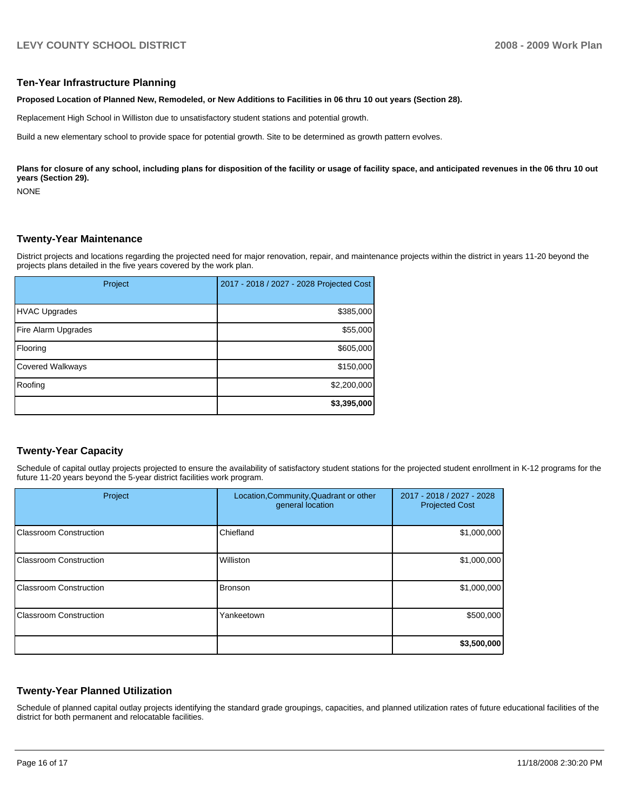#### **Ten-Year Infrastructure Planning**

**Proposed Location of Planned New, Remodeled, or New Additions to Facilities in 06 thru 10 out years (Section 28).** 

Replacement High School in Williston due to unsatisfactory student stations and potential growth.

Build a new elementary school to provide space for potential growth. Site to be determined as growth pattern evolves.

Plans for closure of any school, including plans for disposition of the facility or usage of facility space, and anticipated revenues in the 06 thru 10 out **years (Section 29).** 

NONE

#### **Twenty-Year Maintenance**

District projects and locations regarding the projected need for major renovation, repair, and maintenance projects within the district in years 11-20 beyond the projects plans detailed in the five years covered by the work plan.

| Project                 | 2017 - 2018 / 2027 - 2028 Projected Cost |
|-------------------------|------------------------------------------|
| <b>HVAC Upgrades</b>    | \$385,000                                |
| Fire Alarm Upgrades     | \$55,000                                 |
| Flooring                | \$605,000                                |
| <b>Covered Walkways</b> | \$150,000                                |
| Roofing                 | \$2,200,000                              |
|                         | \$3,395,000                              |

## **Twenty-Year Capacity**

Schedule of capital outlay projects projected to ensure the availability of satisfactory student stations for the projected student enrollment in K-12 programs for the future 11-20 years beyond the 5-year district facilities work program.

| Project                       | Location, Community, Quadrant or other<br>general location | 2017 - 2018 / 2027 - 2028<br><b>Projected Cost</b> |
|-------------------------------|------------------------------------------------------------|----------------------------------------------------|
| Classroom Construction        | Chiefland                                                  | \$1,000,000                                        |
| Classroom Construction        | Williston                                                  | \$1,000,000                                        |
| Classroom Construction        | <b>Bronson</b>                                             | \$1,000,000                                        |
| <b>Classroom Construction</b> | Yankeetown                                                 | \$500,000                                          |
|                               |                                                            | \$3,500,000                                        |

#### **Twenty-Year Planned Utilization**

Schedule of planned capital outlay projects identifying the standard grade groupings, capacities, and planned utilization rates of future educational facilities of the district for both permanent and relocatable facilities.